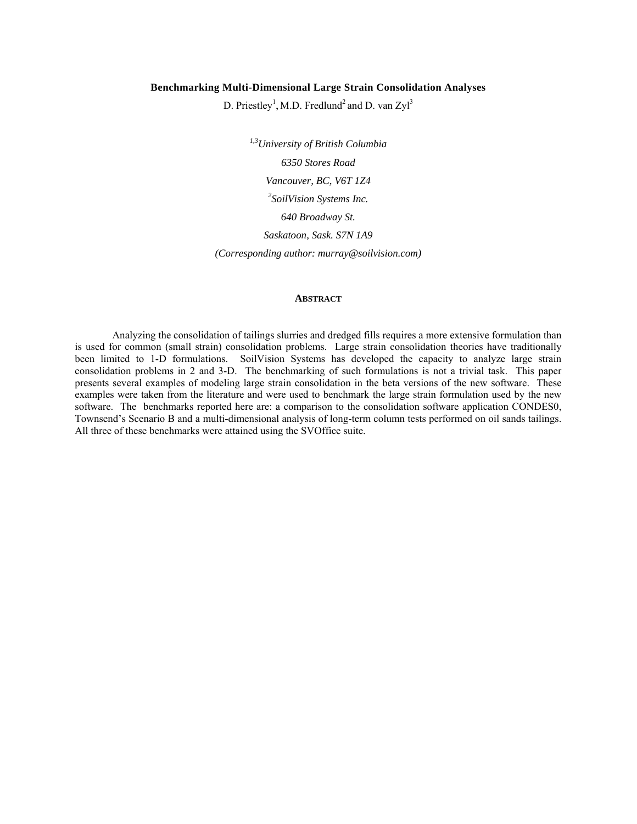# **Benchmarking Multi-Dimensional Large Strain Consolidation Analyses**

D. Priestley<sup>1</sup>, M.D. Fredlund<sup>2</sup> and D. van Zyl<sup>3</sup>

*1,3University of British Columbia 6350 Stores Road Vancouver, BC, V6T 1Z4 2 SoilVision Systems Inc. 640 Broadway St. Saskatoon, Sask. S7N 1A9 (Corresponding author: murray@soilvision.com)* 

#### **ABSTRACT**

Analyzing the consolidation of tailings slurries and dredged fills requires a more extensive formulation than is used for common (small strain) consolidation problems. Large strain consolidation theories have traditionally been limited to 1-D formulations. SoilVision Systems has developed the capacity to analyze large strain consolidation problems in 2 and 3-D. The benchmarking of such formulations is not a trivial task. This paper presents several examples of modeling large strain consolidation in the beta versions of the new software. These examples were taken from the literature and were used to benchmark the large strain formulation used by the new software. The benchmarks reported here are: a comparison to the consolidation software application CONDES0, Townsend's Scenario B and a multi-dimensional analysis of long-term column tests performed on oil sands tailings. All three of these benchmarks were attained using the SVOffice suite.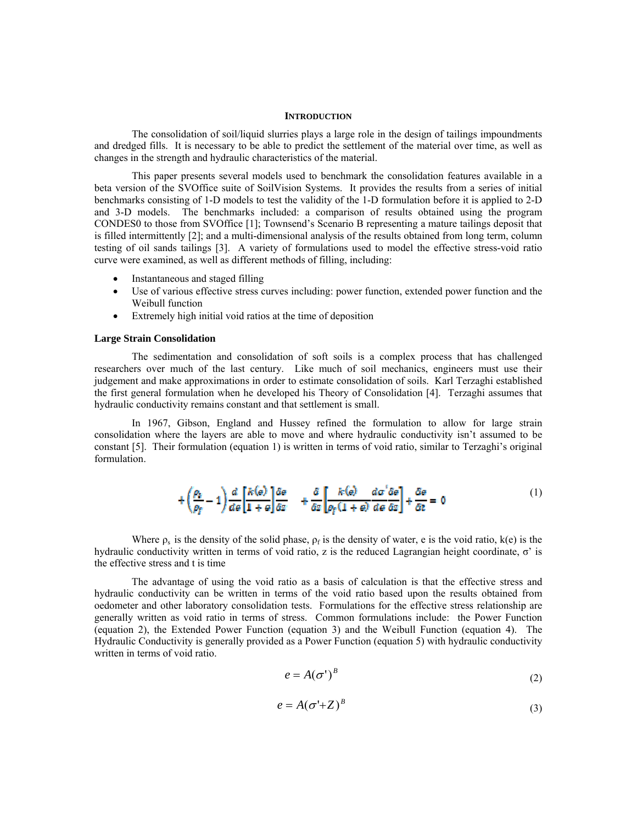### **INTRODUCTION**

The consolidation of soil/liquid slurries plays a large role in the design of tailings impoundments and dredged fills. It is necessary to be able to predict the settlement of the material over time, as well as changes in the strength and hydraulic characteristics of the material.

This paper presents several models used to benchmark the consolidation features available in a beta version of the SVOffice suite of SoilVision Systems. It provides the results from a series of initial benchmarks consisting of 1-D models to test the validity of the 1-D formulation before it is applied to 2-D and 3-D models. The benchmarks included: a comparison of results obtained using the program CONDES0 to those from SVOffice [1]; Townsend's Scenario B representing a mature tailings deposit that is filled intermittently [2]; and a multi-dimensional analysis of the results obtained from long term, column testing of oil sands tailings [3]. A variety of formulations used to model the effective stress-void ratio curve were examined, as well as different methods of filling, including:

- Instantaneous and staged filling
- Use of various effective stress curves including: power function, extended power function and the Weibull function
- Extremely high initial void ratios at the time of deposition

## **Large Strain Consolidation**

The sedimentation and consolidation of soft soils is a complex process that has challenged researchers over much of the last century. Like much of soil mechanics, engineers must use their judgement and make approximations in order to estimate consolidation of soils. Karl Terzaghi established the first general formulation when he developed his Theory of Consolidation [4]. Terzaghi assumes that hydraulic conductivity remains constant and that settlement is small.

In 1967, Gibson, England and Hussey refined the formulation to allow for large strain consolidation where the layers are able to move and where hydraulic conductivity isn't assumed to be constant [5]. Their formulation (equation 1) is written in terms of void ratio, similar to Terzaghi's original formulation.

$$
+\left(\frac{\rho_i}{\rho_f}-1\right)\frac{d}{d\theta}\left[\frac{k(\theta)}{1+\theta}\right]\frac{\delta\theta}{\delta z} + \frac{\delta}{\delta z}\left[\frac{k(\theta)}{\rho_f(1+\theta)}\frac{d\sigma'\delta\theta}{d\theta\delta z}\right] + \frac{\delta\theta}{\delta t} = 0
$$
\n(1)

Where  $\rho_s$  is the density of the solid phase,  $\rho_f$  is the density of water, e is the void ratio, k(e) is the hydraulic conductivity written in terms of void ratio, z is the reduced Lagrangian height coordinate, σ' is the effective stress and t is time

The advantage of using the void ratio as a basis of calculation is that the effective stress and hydraulic conductivity can be written in terms of the void ratio based upon the results obtained from oedometer and other laboratory consolidation tests. Formulations for the effective stress relationship are generally written as void ratio in terms of stress. Common formulations include: the Power Function (equation 2), the Extended Power Function (equation 3) and the Weibull Function (equation 4). The Hydraulic Conductivity is generally provided as a Power Function (equation 5) with hydraulic conductivity written in terms of void ratio.

$$
e = A(\sigma^{\prime})^B \tag{2}
$$

$$
e = A(\sigma^4 + Z)^B \tag{3}
$$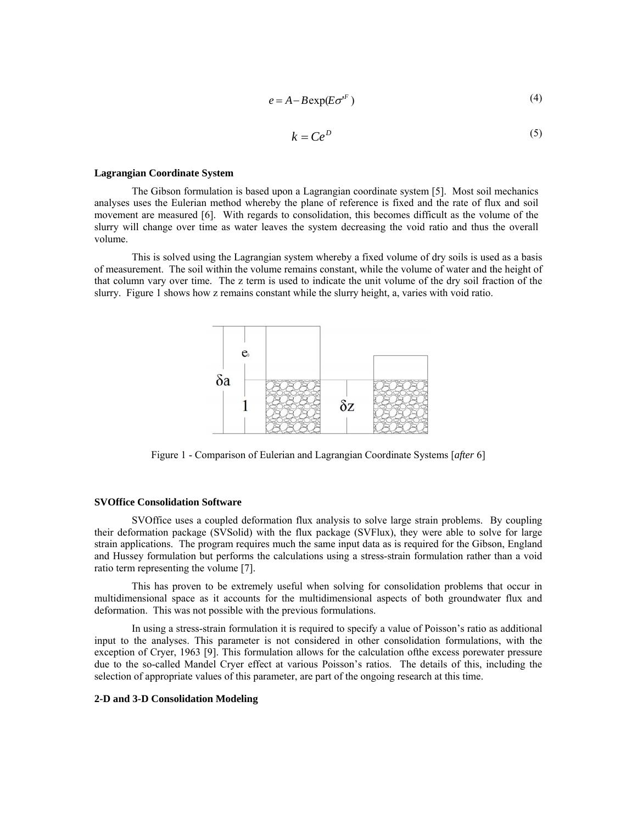$$
e = A - B \exp(E \sigma^{F})
$$
 (4)

$$
k = Ce^D \tag{5}
$$

#### **Lagrangian Coordinate System**

The Gibson formulation is based upon a Lagrangian coordinate system [5]. Most soil mechanics analyses uses the Eulerian method whereby the plane of reference is fixed and the rate of flux and soil movement are measured [6]. With regards to consolidation, this becomes difficult as the volume of the slurry will change over time as water leaves the system decreasing the void ratio and thus the overall volume.

This is solved using the Lagrangian system whereby a fixed volume of dry soils is used as a basis of measurement. The soil within the volume remains constant, while the volume of water and the height of that column vary over time. The z term is used to indicate the unit volume of the dry soil fraction of the slurry. Figure 1 shows how z remains constant while the slurry height, a, varies with void ratio.



Figure 1 - Comparison of Eulerian and Lagrangian Coordinate Systems [*after* 6]

### **SVOffice Consolidation Software**

SVOffice uses a coupled deformation flux analysis to solve large strain problems. By coupling their deformation package (SVSolid) with the flux package (SVFlux), they were able to solve for large strain applications. The program requires much the same input data as is required for the Gibson, England and Hussey formulation but performs the calculations using a stress-strain formulation rather than a void ratio term representing the volume [7].

This has proven to be extremely useful when solving for consolidation problems that occur in multidimensional space as it accounts for the multidimensional aspects of both groundwater flux and deformation. This was not possible with the previous formulations.

In using a stress-strain formulation it is required to specify a value of Poisson's ratio as additional input to the analyses. This parameter is not considered in other consolidation formulations, with the exception of Cryer, 1963 [9]. This formulation allows for the calculation ofthe excess porewater pressure due to the so-called Mandel Cryer effect at various Poisson's ratios. The details of this, including the selection of appropriate values of this parameter, are part of the ongoing research at this time.

# **2-D and 3-D Consolidation Modeling**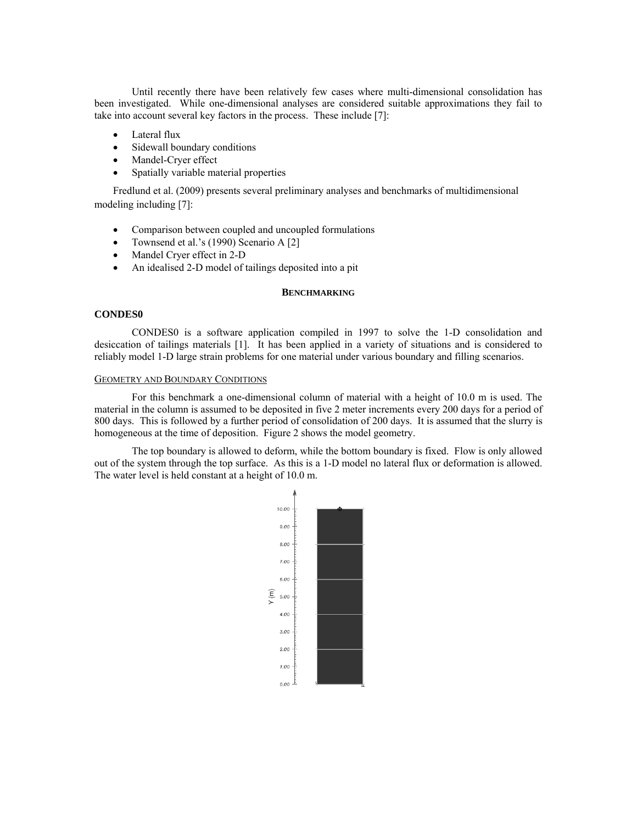Until recently there have been relatively few cases where multi-dimensional consolidation has been investigated. While one-dimensional analyses are considered suitable approximations they fail to take into account several key factors in the process. These include [7]:

- Lateral flux
- Sidewall boundary conditions
- Mandel-Cryer effect
- Spatially variable material properties

Fredlund et al. (2009) presents several preliminary analyses and benchmarks of multidimensional modeling including [7]:

- Comparison between coupled and uncoupled formulations
- Townsend et al.'s (1990) Scenario A [2]
- Mandel Cryer effect in 2-D
- An idealised 2-D model of tailings deposited into a pit

## **BENCHMARKING**

# **CONDES0**

CONDES0 is a software application compiled in 1997 to solve the 1-D consolidation and desiccation of tailings materials [1]. It has been applied in a variety of situations and is considered to reliably model 1-D large strain problems for one material under various boundary and filling scenarios.

# GEOMETRY AND BOUNDARY CONDITIONS

For this benchmark a one-dimensional column of material with a height of 10.0 m is used. The material in the column is assumed to be deposited in five 2 meter increments every 200 days for a period of 800 days. This is followed by a further period of consolidation of 200 days. It is assumed that the slurry is homogeneous at the time of deposition. Figure 2 shows the model geometry.

The top boundary is allowed to deform, while the bottom boundary is fixed. Flow is only allowed out of the system through the top surface. As this is a 1-D model no lateral flux or deformation is allowed. The water level is held constant at a height of 10.0 m.

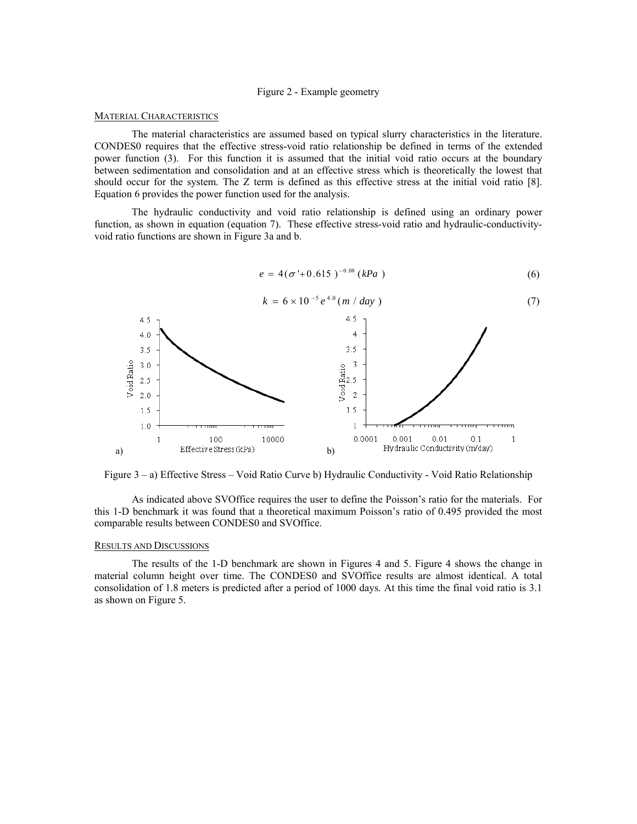# Figure 2 - Example geometry

#### MATERIAL CHARACTERISTICS

The material characteristics are assumed based on typical slurry characteristics in the literature. CONDES0 requires that the effective stress-void ratio relationship be defined in terms of the extended power function (3). For this function it is assumed that the initial void ratio occurs at the boundary between sedimentation and consolidation and at an effective stress which is theoretically the lowest that should occur for the system. The Z term is defined as this effective stress at the initial void ratio [8]. Equation 6 provides the power function used for the analysis.

The hydraulic conductivity and void ratio relationship is defined using an ordinary power function, as shown in equation (equation 7). These effective stress-void ratio and hydraulic-conductivityvoid ratio functions are shown in Figure 3a and b.

$$
e = 4(\sigma' + 0.615)^{-0.08} (kPa) \tag{6}
$$



Figure 3 – a) Effective Stress – Void Ratio Curve b) Hydraulic Conductivity - Void Ratio Relationship

As indicated above SVOffice requires the user to define the Poisson's ratio for the materials. For this 1-D benchmark it was found that a theoretical maximum Poisson's ratio of 0.495 provided the most comparable results between CONDES0 and SVOffice.

### RESULTS AND DISCUSSIONS

The results of the 1-D benchmark are shown in Figures 4 and 5. Figure 4 shows the change in material column height over time. The CONDES0 and SVOffice results are almost identical. A total consolidation of 1.8 meters is predicted after a period of 1000 days. At this time the final void ratio is 3.1 as shown on Figure 5.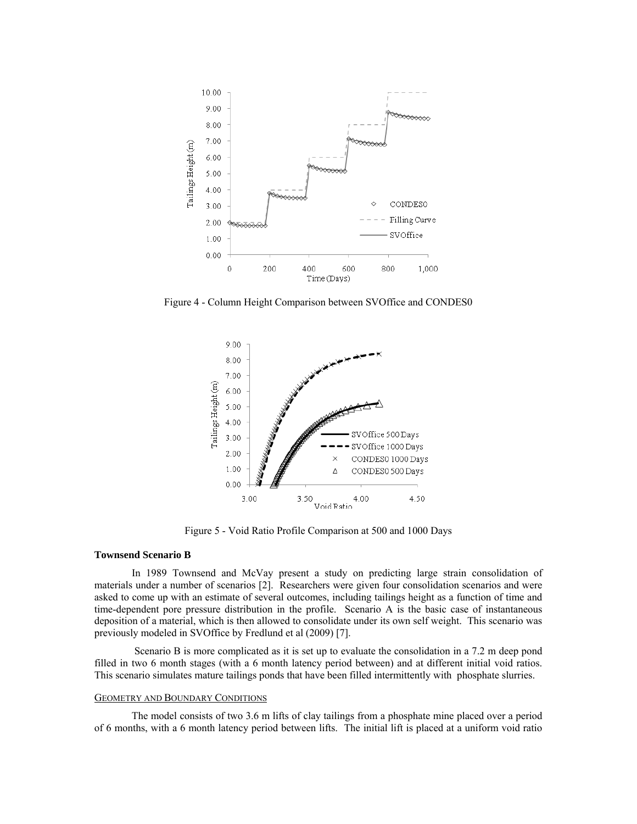

Figure 4 - Column Height Comparison between SVOffice and CONDES0



Figure 5 - Void Ratio Profile Comparison at 500 and 1000 Days

# **Townsend Scenario B**

In 1989 Townsend and McVay present a study on predicting large strain consolidation of materials under a number of scenarios [2]. Researchers were given four consolidation scenarios and were asked to come up with an estimate of several outcomes, including tailings height as a function of time and time-dependent pore pressure distribution in the profile. Scenario A is the basic case of instantaneous deposition of a material, which is then allowed to consolidate under its own self weight. This scenario was previously modeled in SVOffice by Fredlund et al (2009) [7].

 Scenario B is more complicated as it is set up to evaluate the consolidation in a 7.2 m deep pond filled in two 6 month stages (with a 6 month latency period between) and at different initial void ratios. This scenario simulates mature tailings ponds that have been filled intermittently with phosphate slurries.

### GEOMETRY AND BOUNDARY CONDITIONS

The model consists of two 3.6 m lifts of clay tailings from a phosphate mine placed over a period of 6 months, with a 6 month latency period between lifts. The initial lift is placed at a uniform void ratio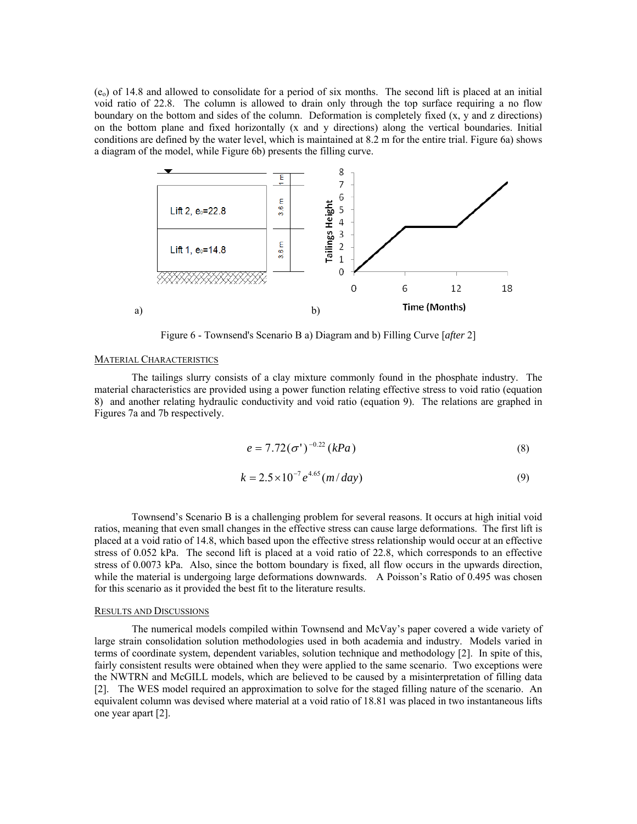$(e_0)$  of 14.8 and allowed to consolidate for a period of six months. The second lift is placed at an initial void ratio of 22.8. The column is allowed to drain only through the top surface requiring a no flow boundary on the bottom and sides of the column. Deformation is completely fixed (x, y and z directions) on the bottom plane and fixed horizontally (x and y directions) along the vertical boundaries. Initial conditions are defined by the water level, which is maintained at 8.2 m for the entire trial. Figure 6a) shows a diagram of the model, while Figure 6b) presents the filling curve.



Figure 6 - Townsend's Scenario B a) Diagram and b) Filling Curve [*after* 2]

## MATERIAL CHARACTERISTICS

The tailings slurry consists of a clay mixture commonly found in the phosphate industry. The material characteristics are provided using a power function relating effective stress to void ratio (equation 8) and another relating hydraulic conductivity and void ratio (equation 9). The relations are graphed in Figures 7a and 7b respectively.

$$
e = 7.72(\sigma')^{-0.22} (kPa)
$$
 (8)

$$
k = 2.5 \times 10^{-7} e^{4.65} (m/day)
$$
 (9)

Townsend's Scenario B is a challenging problem for several reasons. It occurs at high initial void ratios, meaning that even small changes in the effective stress can cause large deformations. The first lift is placed at a void ratio of 14.8, which based upon the effective stress relationship would occur at an effective stress of 0.052 kPa. The second lift is placed at a void ratio of 22.8, which corresponds to an effective stress of 0.0073 kPa. Also, since the bottom boundary is fixed, all flow occurs in the upwards direction, while the material is undergoing large deformations downwards. A Poisson's Ratio of 0.495 was chosen for this scenario as it provided the best fit to the literature results.

### RESULTS AND DISCUSSIONS

The numerical models compiled within Townsend and McVay's paper covered a wide variety of large strain consolidation solution methodologies used in both academia and industry. Models varied in terms of coordinate system, dependent variables, solution technique and methodology [2]. In spite of this, fairly consistent results were obtained when they were applied to the same scenario. Two exceptions were the NWTRN and McGILL models, which are believed to be caused by a misinterpretation of filling data [2]. The WES model required an approximation to solve for the staged filling nature of the scenario. An equivalent column was devised where material at a void ratio of 18.81 was placed in two instantaneous lifts one year apart [2].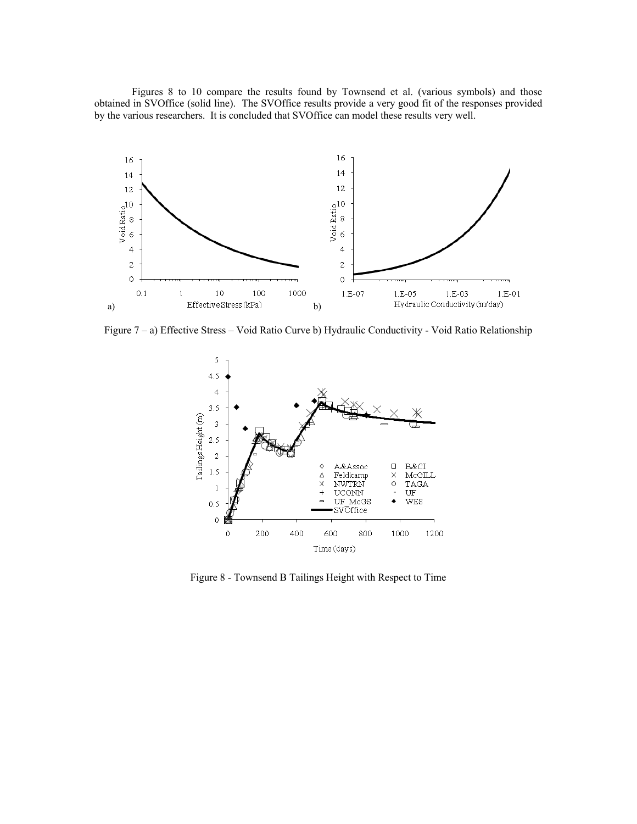Figures 8 to 10 compare the results found by Townsend et al. (various symbols) and those obtained in SVOffice (solid line). The SVOffice results provide a very good fit of the responses provided by the various researchers. It is concluded that SVOffice can model these results very well.



Figure 7 – a) Effective Stress – Void Ratio Curve b) Hydraulic Conductivity - Void Ratio Relationship



Figure 8 - Townsend B Tailings Height with Respect to Time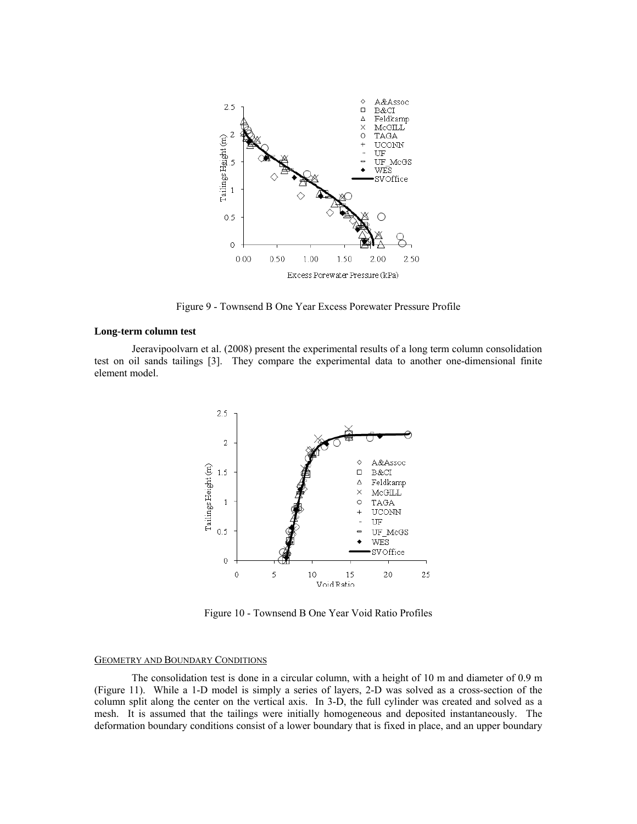

Figure 9 - Townsend B One Year Excess Porewater Pressure Profile

### **Long-term column test**

Jeeravipoolvarn et al. (2008) present the experimental results of a long term column consolidation test on oil sands tailings [3]. They compare the experimental data to another one-dimensional finite element model.



Figure 10 - Townsend B One Year Void Ratio Profiles

# GEOMETRY AND BOUNDARY CONDITIONS

The consolidation test is done in a circular column, with a height of 10 m and diameter of 0.9 m (Figure 11). While a 1-D model is simply a series of layers, 2-D was solved as a cross-section of the column split along the center on the vertical axis. In 3-D, the full cylinder was created and solved as a mesh. It is assumed that the tailings were initially homogeneous and deposited instantaneously. The deformation boundary conditions consist of a lower boundary that is fixed in place, and an upper boundary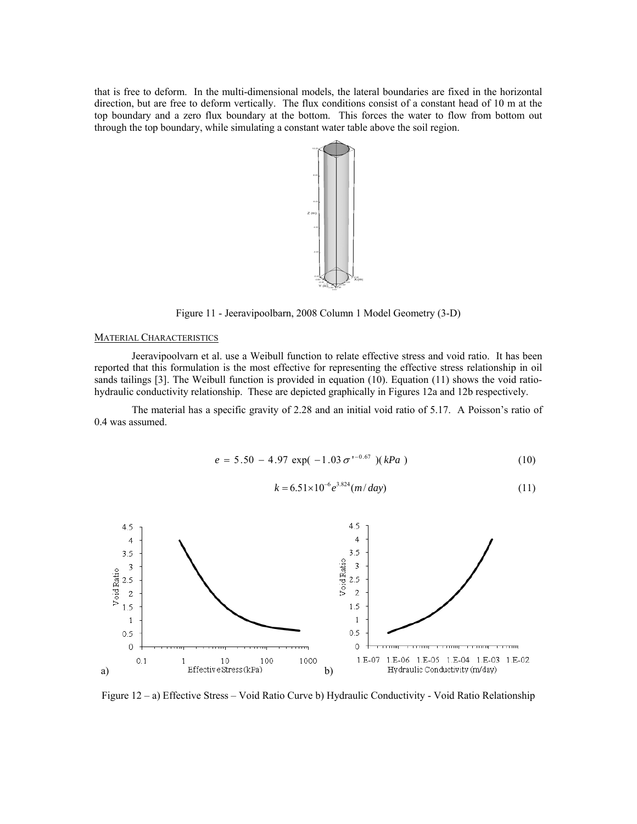that is free to deform. In the multi-dimensional models, the lateral boundaries are fixed in the horizontal direction, but are free to deform vertically. The flux conditions consist of a constant head of 10 m at the top boundary and a zero flux boundary at the bottom. This forces the water to flow from bottom out through the top boundary, while simulating a constant water table above the soil region.



Figure 11 - Jeeravipoolbarn, 2008 Column 1 Model Geometry (3-D)

# MATERIAL CHARACTERISTICS

Jeeravipoolvarn et al. use a Weibull function to relate effective stress and void ratio. It has been reported that this formulation is the most effective for representing the effective stress relationship in oil sands tailings [3]. The Weibull function is provided in equation (10). Equation (11) shows the void ratiohydraulic conductivity relationship. These are depicted graphically in Figures 12a and 12b respectively.

The material has a specific gravity of 2.28 and an initial void ratio of 5.17. A Poisson's ratio of 0.4 was assumed.

$$
e = 5.50 - 4.97 \exp(-1.03 \sigma^{1-0.67}) (kPa)
$$
 (10)

$$
k = 6.51 \times 10^{-6} e^{3.824} (m / day)
$$
 (11)



Figure 12 – a) Effective Stress – Void Ratio Curve b) Hydraulic Conductivity - Void Ratio Relationship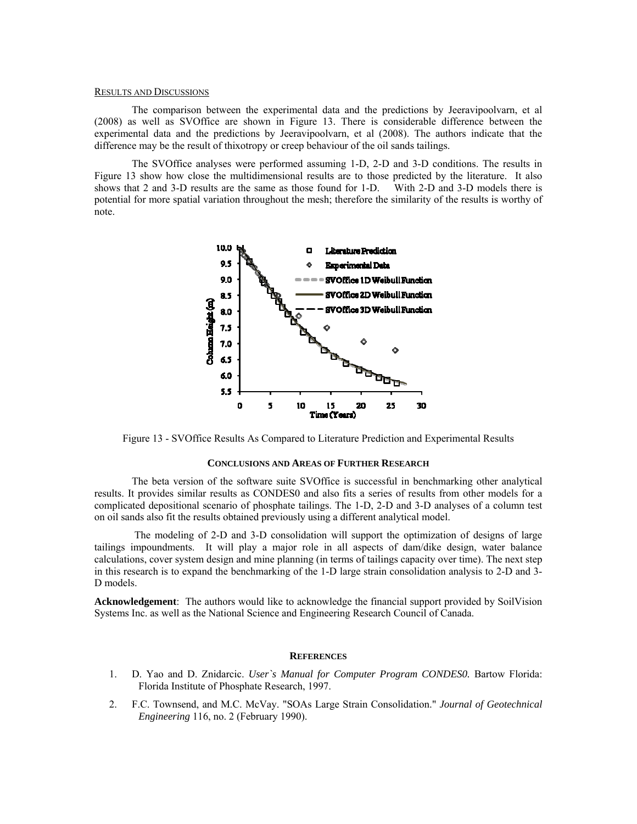#### RESULTS AND DISCUSSIONS

The comparison between the experimental data and the predictions by Jeeravipoolvarn, et al (2008) as well as SVOffice are shown in Figure 13. There is considerable difference between the experimental data and the predictions by Jeeravipoolvarn, et al (2008). The authors indicate that the difference may be the result of thixotropy or creep behaviour of the oil sands tailings.

The SVOffice analyses were performed assuming 1-D, 2-D and 3-D conditions. The results in Figure 13 show how close the multidimensional results are to those predicted by the literature. It also shows that 2 and 3-D results are the same as those found for 1-D. With 2-D and 3-D models there is potential for more spatial variation throughout the mesh; therefore the similarity of the results is worthy of note.



Figure 13 - SVOffice Results As Compared to Literature Prediction and Experimental Results

#### **CONCLUSIONS AND AREAS OF FURTHER RESEARCH**

The beta version of the software suite SVOffice is successful in benchmarking other analytical results. It provides similar results as CONDES0 and also fits a series of results from other models for a complicated depositional scenario of phosphate tailings. The 1-D, 2-D and 3-D analyses of a column test on oil sands also fit the results obtained previously using a different analytical model.

 The modeling of 2-D and 3-D consolidation will support the optimization of designs of large tailings impoundments. It will play a major role in all aspects of dam/dike design, water balance calculations, cover system design and mine planning (in terms of tailings capacity over time). The next step in this research is to expand the benchmarking of the 1-D large strain consolidation analysis to 2-D and 3- D models.

**Acknowledgement**: The authors would like to acknowledge the financial support provided by SoilVision Systems Inc. as well as the National Science and Engineering Research Council of Canada.

#### **REFERENCES**

- 1. D. Yao and D. Znidarcic. *User`s Manual for Computer Program CONDES0.* Bartow Florida: Florida Institute of Phosphate Research, 1997.
- 2. F.C. Townsend, and M.C. McVay. "SOAs Large Strain Consolidation." *Journal of Geotechnical Engineering* 116, no. 2 (February 1990).